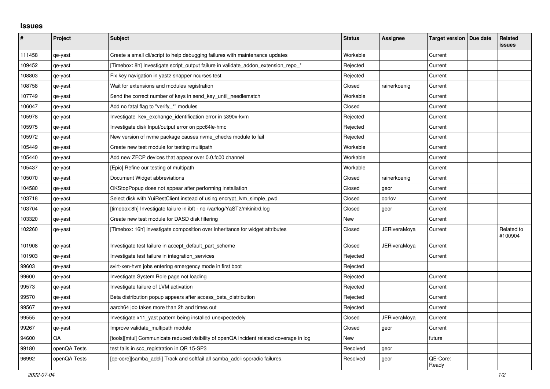## **Issues**

| ∦      | Project      | <b>Subject</b>                                                                          | <b>Status</b> | Assignee     | Target version   Due date | Related<br><b>issues</b> |
|--------|--------------|-----------------------------------------------------------------------------------------|---------------|--------------|---------------------------|--------------------------|
| 111458 | qe-yast      | Create a small cli/script to help debugging failures with maintenance updates           | Workable      |              | Current                   |                          |
| 109452 | qe-yast      | [Timebox: 8h] Investigate script_output failure in validate_addon_extension_repo_*      | Rejected      |              | Current                   |                          |
| 108803 | qe-yast      | Fix key navigation in yast2 snapper ncurses test                                        | Rejected      |              | Current                   |                          |
| 108758 | qe-yast      | Wait for extensions and modules registration                                            | Closed        | rainerkoenig | Current                   |                          |
| 107749 | qe-yast      | Send the correct number of keys in send_key_until_needlematch                           | Workable      |              | Current                   |                          |
| 106047 | qe-yast      | Add no fatal flag to "verify_*" modules                                                 | Closed        |              | Current                   |                          |
| 105978 | qe-yast      | Investigate kex_exchange_identification error in s390x-kvm                              | Rejected      |              | Current                   |                          |
| 105975 | qe-yast      | Investigate disk Input/output error on ppc64le-hmc                                      | Rejected      |              | Current                   |                          |
| 105972 | qe-yast      | New version of nyme package causes nyme checks module to fail                           | Rejected      |              | Current                   |                          |
| 105449 | qe-yast      | Create new test module for testing multipath                                            | Workable      |              | Current                   |                          |
| 105440 | qe-yast      | Add new ZFCP devices that appear over 0.0.fc00 channel                                  | Workable      |              | Current                   |                          |
| 105437 | qe-yast      | [Epic] Refine our testing of multipath                                                  | Workable      |              | Current                   |                          |
| 105070 | qe-yast      | Document Widget abbreviations                                                           | Closed        | rainerkoenig | Current                   |                          |
| 104580 | qe-yast      | OKStopPopup does not appear after performing installation                               | Closed        | geor         | Current                   |                          |
| 103718 | qe-yast      | Select disk with YuiRestClient instead of using encrypt_lvm_simple_pwd                  | Closed        | oorlov       | Current                   |                          |
| 103704 | qe-yast      | [timebox:8h] Investigate failure in ibft - no /var/log/YaST2/mkinitrd.log               | Closed        | geor         | Current                   |                          |
| 103320 | qe-yast      | Create new test module for DASD disk filtering                                          | New           |              | Current                   |                          |
| 102260 | qe-yast      | [Timebox: 16h] Investigate composition over inheritance for widget attributes           | Closed        | JERiveraMoya | Current                   | Related to<br>#100904    |
| 101908 | qe-yast      | Investigate test failure in accept default part scheme                                  | Closed        | JERiveraMoya | Current                   |                          |
| 101903 | qe-yast      | Investigate test failure in integration_services                                        | Rejected      |              | Current                   |                          |
| 99603  | qe-yast      | svirt-xen-hvm jobs entering emergency mode in first boot                                | Rejected      |              |                           |                          |
| 99600  | qe-yast      | Investigate System Role page not loading                                                | Rejected      |              | Current                   |                          |
| 99573  | qe-yast      | Investigate failure of LVM activation                                                   | Rejected      |              | Current                   |                          |
| 99570  | qe-yast      | Beta distribution popup appears after access_beta_distribution                          | Rejected      |              | Current                   |                          |
| 99567  | qe-yast      | aarch64 job takes more than 2h and times out                                            | Rejected      |              | Current                   |                          |
| 99555  | qe-yast      | Investigate x11 yast pattern being installed unexpectedely                              | Closed        | JERiveraMoya | Current                   |                          |
| 99267  | qe-yast      | Improve validate multipath module                                                       | Closed        | geor         | Current                   |                          |
| 94600  | QA           | [tools][mtui] Communicate reduced visibility of openQA incident related coverage in log | <b>New</b>    |              | future                    |                          |
| 99180  | openQA Tests | test fails in scc_registration in QR 15-SP3                                             | Resolved      | geor         |                           |                          |
| 96992  | openQA Tests | [ge-core][samba adcli] Track and softfail all samba adcli sporadic failures.            | Resolved      | geor         | QE-Core:<br>Ready         |                          |